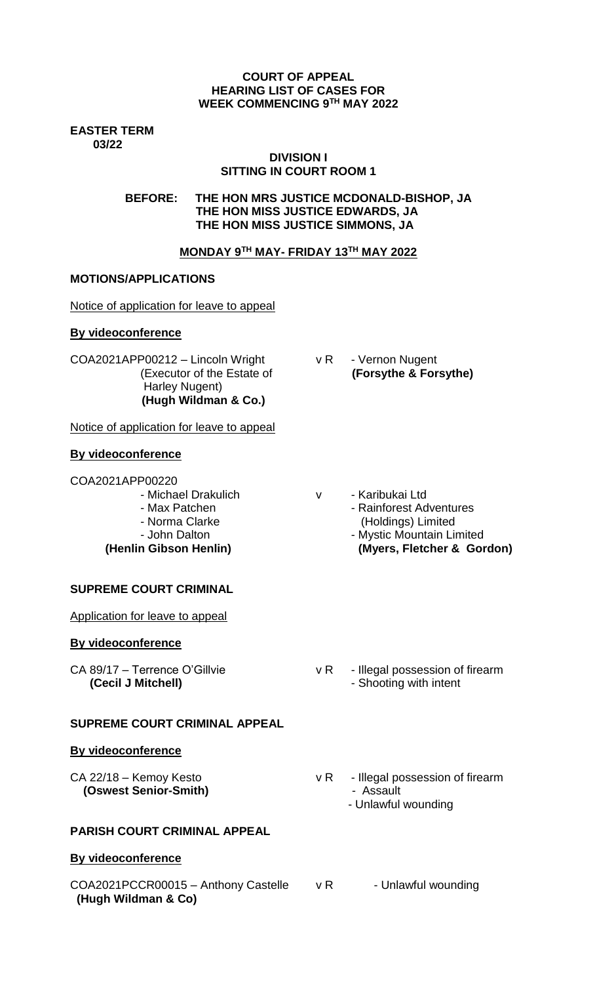#### **COURT OF APPEAL HEARING LIST OF CASES FOR WEEK COMMENCING 9TH MAY 2022**

**EASTER TERM 03/22**

# **DIVISION I SITTING IN COURT ROOM 1**

**BEFORE: THE HON MRS JUSTICE MCDONALD-BISHOP, JA THE HON MISS JUSTICE EDWARDS, JA THE HON MISS JUSTICE SIMMONS, JA**

# **MONDAY 9TH MAY- FRIDAY 13TH MAY 2022**

# **MOTIONS/APPLICATIONS**

Notice of application for leave to appeal

# **By videoconference**

COA2021APP00212 – Lincoln Wright v R - Vernon Nugent Harley Nugent)  **(Hugh Wildman & Co.)** 

Notice of application for leave to appeal

# **By videoconference**

COA2021APP00220

- 
- 
- 
- 

**SUPREME COURT CRIMINAL** 

Application for leave to appeal

# **By videoconference**

# **SUPREME COURT CRIMINAL APPEAL**

# **By videoconference**

 **(Oswest Senior-Smith)** - Assault

# **PARISH COURT CRIMINAL APPEAL**

# **By videoconference**

COA2021PCCR00015 - Anthony Castelle v R - Unlawful wounding **(Hugh Wildman & Co)** 

(Executor of the Estate of **(Forsythe & Forsythe)**

- Michael Drakulich v Karibukai Ltd - Max Patchen **- Adventures** - Rainforest Adventures
- Norma Clarke (Holdings) Limited - John Dalton **- Mystic Mountain Limited**
- **(Henlin Gibson Henlin) (Myers, Fletcher & Gordon)**

- CA 89/17 Terrence O'Gillvie v R Illegal possession of firearm **(Cecil J Mitchell)** - Shooting with intent
- CA 22/18 Kemoy Kesto v R Illegal possession of firearm - Unlawful wounding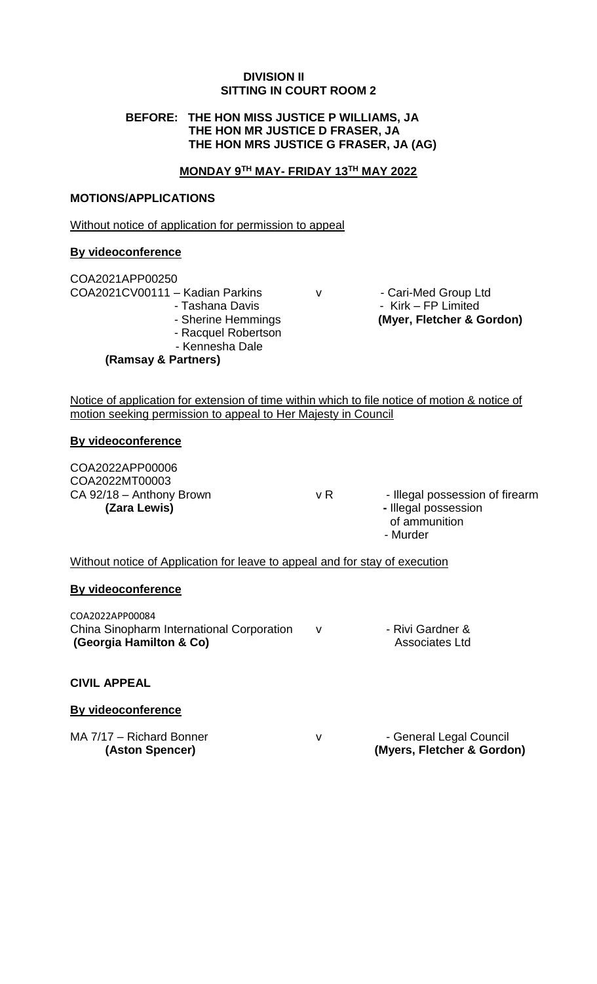#### **DIVISION II SITTING IN COURT ROOM 2**

# **BEFORE: THE HON MISS JUSTICE P WILLIAMS, JA THE HON MR JUSTICE D FRASER, JA THE HON MRS JUSTICE G FRASER, JA (AG)**

#### **MONDAY 9TH MAY- FRIDAY 13TH MAY 2022**

#### **MOTIONS/APPLICATIONS**

Without notice of application for permission to appeal

#### **By videoconference**

| COA2021APP00250                 |
|---------------------------------|
| COA2021CV00111 - Kadian Parkins |
| - Tashana Davis                 |
| - Sherine Hemmings              |
| - Racquel Robertson             |

- 
- Kennesha Dale

**(Ramsay & Partners)**

v - Cari-Med Group Ltd - Kirk – FP Limited **Asherings (Scher & Gordon)** 

Notice of application for extension of time within which to file notice of motion & notice of motion seeking permission to appeal to Her Majesty in Council

#### **By videoconference**

COA2022APP00006 COA2022MT00003

 $CA$  92/18 – Anthony Brown  $V R$   $V R$  - Illegal possession of firearm **(Zara Lewis)**  $\qquad \qquad$  **1 Illegal possession** of ammunition - Murder

Without notice of Application for leave to appeal and for stay of execution

#### **By videoconference**

COA2022APP00084 China Sinopharm International Corporation v - Rivi Gardner & **(Georgia Hamilton & Co)** Associates Ltd

# **CIVIL APPEAL**

# **By videoconference**

MA 7/17 – Richard Bonner v v - General Legal Council

**(Aston Spencer) (Myers, Fletcher & Gordon)**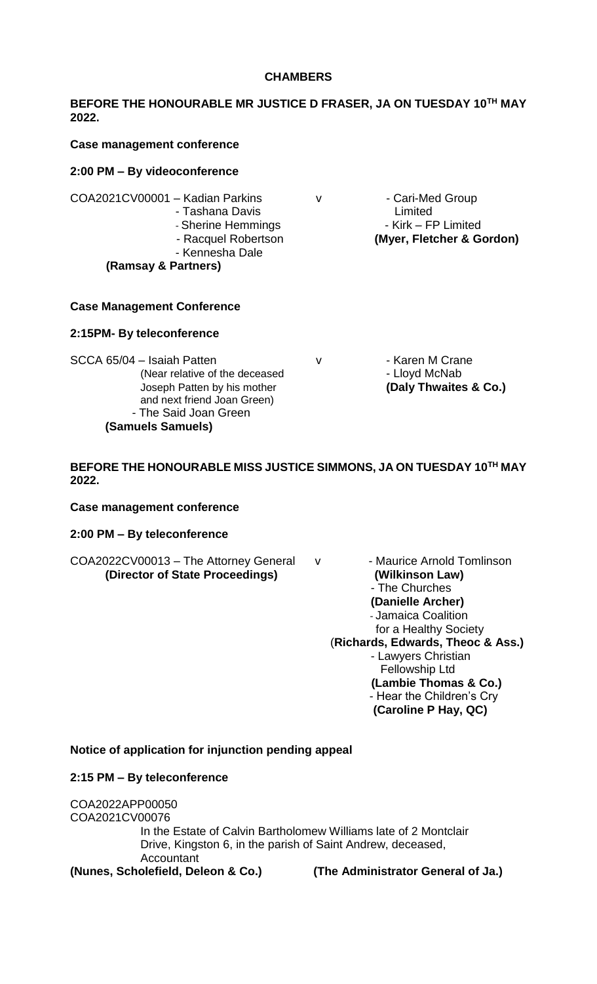#### **CHAMBERS**

# **BEFORE THE HONOURABLE MR JUSTICE D FRASER, JA ON TUESDAY 10TH MAY 2022.**

#### **Case management conference**

#### **2:00 PM – By videoconference**

- COA2021CV00001 Kadian Parkins v v Cari-Med Group
	- Tashana Davis Limited
	-
	-
	- Kennesha Dale

# **(Ramsay & Partners)**

#### **Case Management Conference**

#### **2:15PM- By teleconference**

SCCA 65/04 – Isaiah Patten v v Faren M Crane (Near relative of the deceased The Society of Lloyd McNab Joseph Patten by his mother **(Daly Thwaites & Co.)** and next friend Joan Green) - The Said Joan Green **(Samuels Samuels)**

- Sherine Hemmings - The Sherine Hemmings - Kirk – FP Limited - Racquel Robertson **(Myer, Fletcher & Gordon)**

# **BEFORE THE HONOURABLE MISS JUSTICE SIMMONS, JA ON TUESDAY 10TH MAY 2022.**

#### **Case management conference**

# **2:00 PM – By teleconference**

COA2022CV00013 – The Attorney General v - Maurice Arnold Tomlinson **(Director of State Proceedings) (Wilkinson Law)**

- The Churches **(Danielle Archer)** - Jamaica Coalition for a Healthy Society (**Richards, Edwards, Theoc & Ass.)** - Lawyers Christian Fellowship Ltd **(Lambie Thomas & Co.)** - Hear the Children's Cry **(Caroline P Hay, QC)**

#### **Notice of application for injunction pending appeal**

#### **2:15 PM – By teleconference**

COA2022APP00050 COA2021CV00076 In the Estate of Calvin Bartholomew Williams late of 2 Montclair Drive, Kingston 6, in the parish of Saint Andrew, deceased, Accountant

**(Nunes, Scholefield, Deleon & Co.) (The Administrator General of Ja.)**